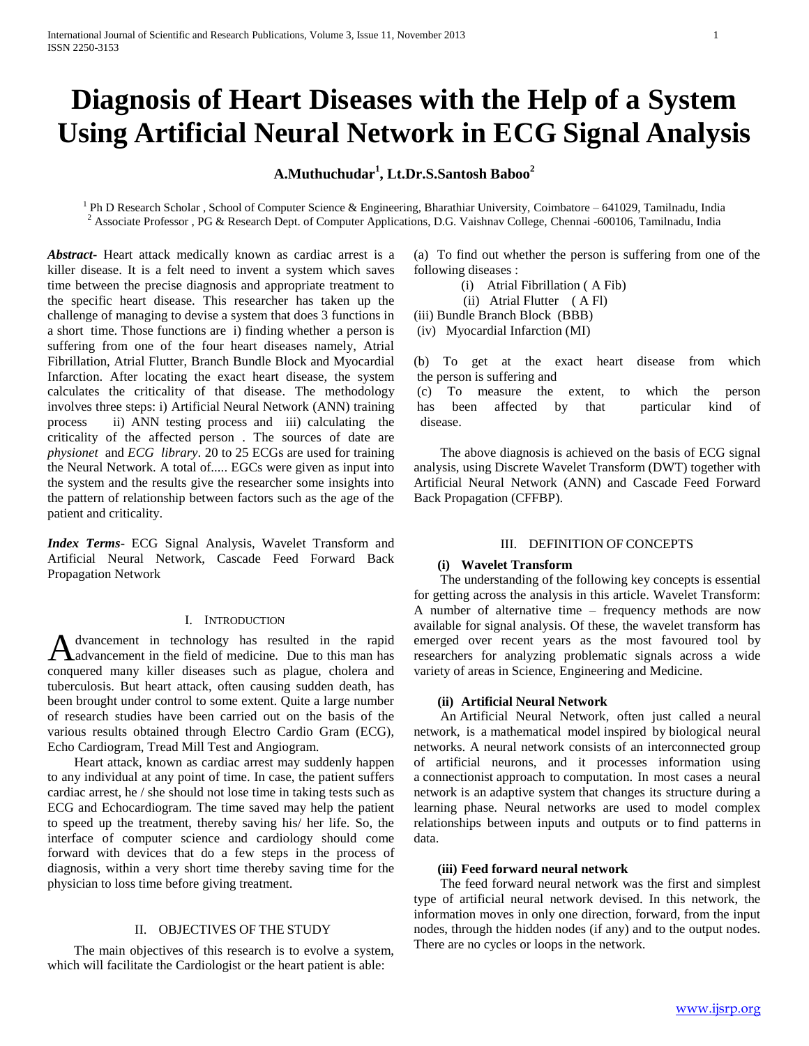# **Diagnosis of Heart Diseases with the Help of a System Using Artificial Neural Network in ECG Signal Analysis**

# **A.Muthuchudar<sup>1</sup> , Lt.Dr.S.Santosh Baboo<sup>2</sup>**

<sup>1</sup> Ph D Research Scholar, School of Computer Science & Engineering, Bharathiar University, Coimbatore – 641029, Tamilnadu, India  $2$  Associate Professor, PG & Research Dept. of Computer Applications, D.G. Vaishnav College, Chennai -600106, Tamilnadu, India

*Abstract***-** Heart attack medically known as cardiac arrest is a killer disease. It is a felt need to invent a system which saves time between the precise diagnosis and appropriate treatment to the specific heart disease. This researcher has taken up the challenge of managing to devise a system that does 3 functions in a short time. Those functions are i) finding whether a person is suffering from one of the four heart diseases namely, Atrial Fibrillation, Atrial Flutter, Branch Bundle Block and Myocardial Infarction. After locating the exact heart disease, the system calculates the criticality of that disease. The methodology involves three steps: i) Artificial Neural Network (ANN) training process ii) ANN testing process and iii) calculating the criticality of the affected person . The sources of date are *physionet* and *ECG library*. 20 to 25 ECGs are used for training the Neural Network. A total of..... EGCs were given as input into the system and the results give the researcher some insights into the pattern of relationship between factors such as the age of the patient and criticality.

*Index Terms*- ECG Signal Analysis, Wavelet Transform and Artificial Neural Network, Cascade Feed Forward Back Propagation Network

#### I. INTRODUCTION

dvancement in technology has resulted in the rapid advancement in the field of medicine. Due to this man has A dvancement in technology has resulted in the rapid<br>conquered many killer diseases such as plague, cholera and tuberculosis. But heart attack, often causing sudden death, has been brought under control to some extent. Quite a large number of research studies have been carried out on the basis of the various results obtained through Electro Cardio Gram (ECG), Echo Cardiogram, Tread Mill Test and Angiogram.

 Heart attack, known as cardiac arrest may suddenly happen to any individual at any point of time. In case, the patient suffers cardiac arrest, he / she should not lose time in taking tests such as ECG and Echocardiogram. The time saved may help the patient to speed up the treatment, thereby saving his/ her life. So, the interface of computer science and cardiology should come forward with devices that do a few steps in the process of diagnosis, within a very short time thereby saving time for the physician to loss time before giving treatment.

# II. OBJECTIVES OF THE STUDY

 The main objectives of this research is to evolve a system, which will facilitate the Cardiologist or the heart patient is able:

(a) To find out whether the person is suffering from one of the following diseases :

- (i) Atrial Fibrillation ( A Fib)
- (ii) Atrial Flutter ( A Fl)
- (iii) Bundle Branch Block (BBB)

(iv) Myocardial Infarction (MI)

(b) To get at the exact heart disease from which the person is suffering and

(c) To measure the extent, to which the person has been affected by that particular kind of disease.

 The above diagnosis is achieved on the basis of ECG signal analysis, using Discrete Wavelet Transform (DWT) together with Artificial Neural Network (ANN) and Cascade Feed Forward Back Propagation (CFFBP).

## III. DEFINITION OF CONCEPTS

# **(i) Wavelet Transform**

 The understanding of the following key concepts is essential for getting across the analysis in this article. Wavelet Transform: A number of alternative time – frequency methods are now available for signal analysis. Of these, the wavelet transform has emerged over recent years as the most favoured tool by researchers for analyzing problematic signals across a wide variety of areas in Science, Engineering and Medicine.

## **(ii) Artificial Neural Network**

 An Artificial Neural Network, often just called a neural network, is a mathematical model inspired by biological neural networks. A neural network consists of an interconnected group of artificial neurons, and it processes information using a connectionist approach to computation. In most cases a neural network is an adaptive system that changes its structure during a learning phase. Neural networks are used to model complex relationships between inputs and outputs or to find patterns in data.

### **(iii) Feed forward neural network**

 The feed forward neural network was the first and simplest type of artificial neural network devised. In this network, the information moves in only one direction, forward, from the input nodes, through the hidden nodes (if any) and to the output nodes. There are no cycles or loops in the network.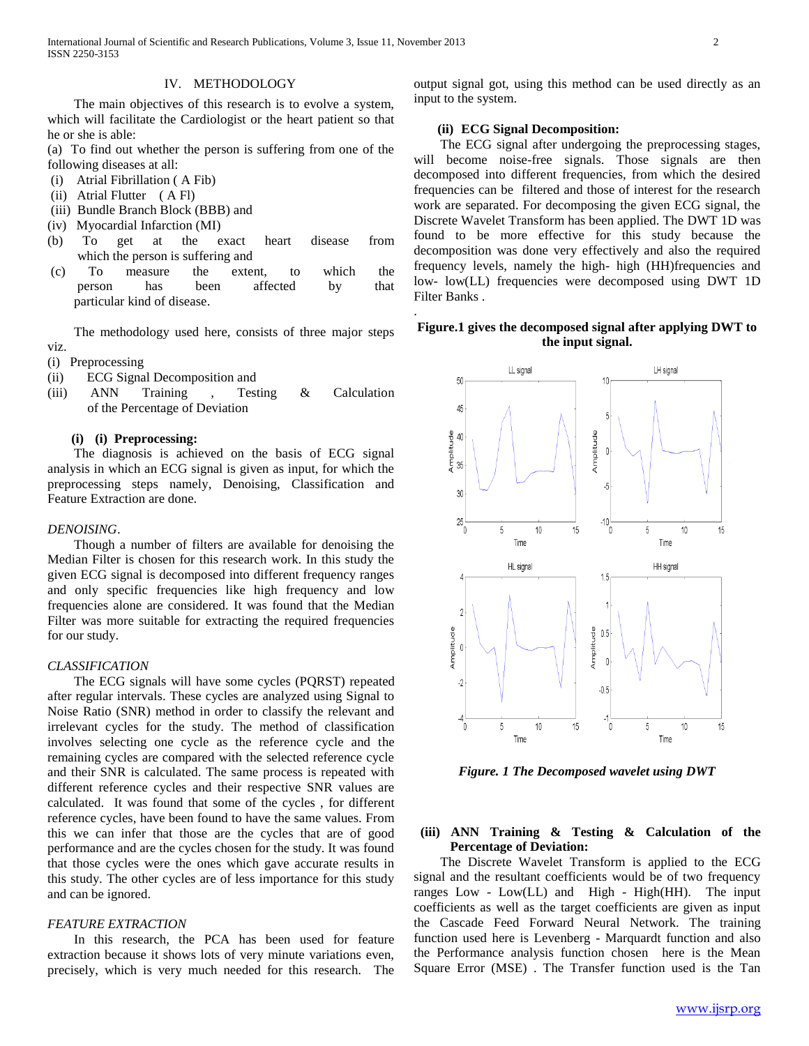## IV. METHODOLOGY

 The main objectives of this research is to evolve a system, which will facilitate the Cardiologist or the heart patient so that he or she is able:

(a) To find out whether the person is suffering from one of the following diseases at all:

- (i) Atrial Fibrillation ( A Fib)
- (ii) Atrial Flutter ( A Fl)
- (iii) Bundle Branch Block (BBB) and
- (iv) Myocardial Infarction (MI)
- (b) To get at the exact heart disease from which the person is suffering and
- (c) To measure the extent, to which the person has been affected by that particular kind of disease.

 The methodology used here, consists of three major steps viz.

- (i) Preprocessing
- (ii) ECG Signal Decomposition and
- (iii) ANN Training , Testing & Calculation of the Percentage of Deviation

#### **(i) (i) Preprocessing:**

 The diagnosis is achieved on the basis of ECG signal analysis in which an ECG signal is given as input, for which the preprocessing steps namely, Denoising, Classification and Feature Extraction are done.

#### *DENOISING*.

 Though a number of filters are available for denoising the Median Filter is chosen for this research work. In this study the given ECG signal is decomposed into different frequency ranges and only specific frequencies like high frequency and low frequencies alone are considered. It was found that the Median Filter was more suitable for extracting the required frequencies for our study.

#### *CLASSIFICATION*

 The ECG signals will have some cycles (PQRST) repeated after regular intervals. These cycles are analyzed using Signal to Noise Ratio (SNR) method in order to classify the relevant and irrelevant cycles for the study. The method of classification involves selecting one cycle as the reference cycle and the remaining cycles are compared with the selected reference cycle and their SNR is calculated. The same process is repeated with different reference cycles and their respective SNR values are calculated. It was found that some of the cycles , for different reference cycles, have been found to have the same values. From this we can infer that those are the cycles that are of good performance and are the cycles chosen for the study. It was found that those cycles were the ones which gave accurate results in this study. The other cycles are of less importance for this study and can be ignored.

## *FEATURE EXTRACTION*

 In this research, the PCA has been used for feature extraction because it shows lots of very minute variations even, precisely, which is very much needed for this research. The output signal got, using this method can be used directly as an input to the system.

## **(ii) ECG Signal Decomposition:**

.

 The ECG signal after undergoing the preprocessing stages, will become noise-free signals. Those signals are then decomposed into different frequencies, from which the desired frequencies can be filtered and those of interest for the research work are separated. For decomposing the given ECG signal, the Discrete Wavelet Transform has been applied. The DWT 1D was found to be more effective for this study because the decomposition was done very effectively and also the required frequency levels, namely the high- high (HH)frequencies and low- low(LL) frequencies were decomposed using DWT 1D Filter Banks .

# **Figure.1 gives the decomposed signal after applying DWT to the input signal.**



*Figure. 1 The Decomposed wavelet using DWT*

## **(iii) ANN Training & Testing & Calculation of the Percentage of Deviation:**

 The Discrete Wavelet Transform is applied to the ECG signal and the resultant coefficients would be of two frequency ranges Low - Low(LL) and High - High(HH). The input coefficients as well as the target coefficients are given as input the Cascade Feed Forward Neural Network. The training function used here is Levenberg - Marquardt function and also the Performance analysis function chosen here is the Mean Square Error (MSE) . The Transfer function used is the Tan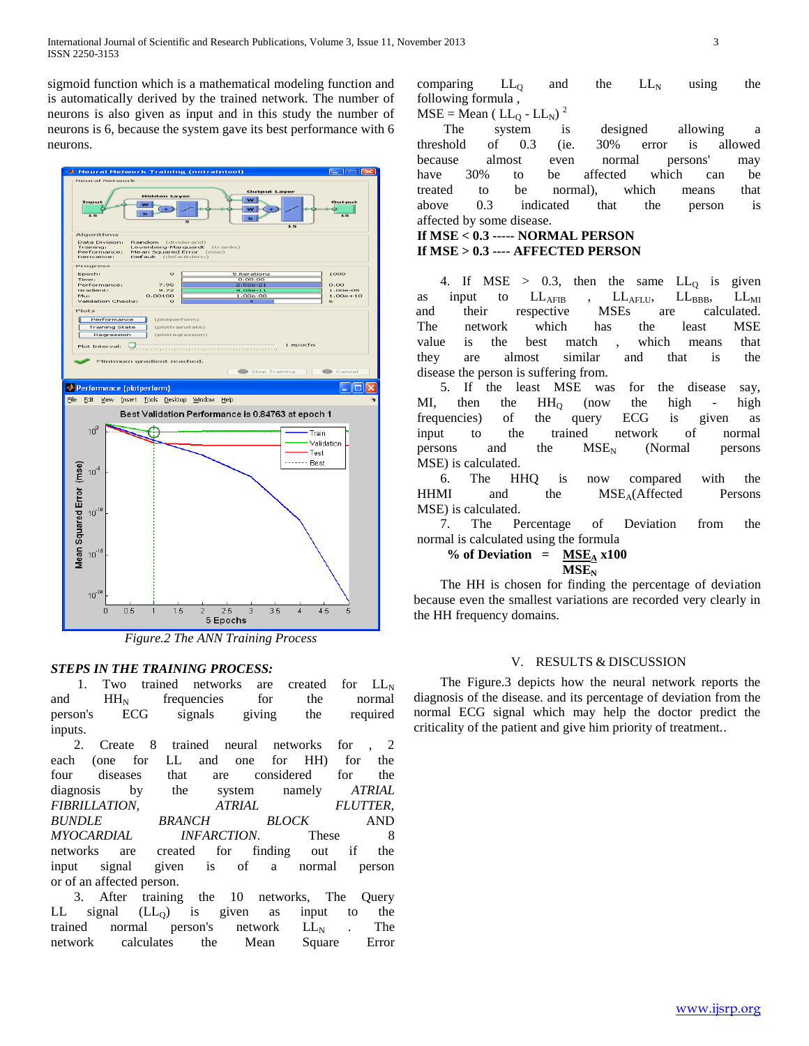sigmoid function which is a mathematical modeling function and is automatically derived by the trained network. The number of neurons is also given as input and in this study the number of neurons is 6, because the system gave its best performance with 6 neurons.



*Figure.2 The ANN Training Process*

# *STEPS IN THE TRAINING PROCESS:*

1. Two trained networks are created for  $LL_N$ and  $HH_N$  frequencies for the normal person's ECG signals giving the required inputs.

 2. Create 8 trained neural networks for , 2 each (one for LL and one for HH) for the four diseases that are considered for the diagnosis by the system namely *ATRIAL FIBRILLATION, ATRIAL FLUTTER, BUNDLE BRANCH BLOCK* AND *MYOCARDIAL INFARCTION*. These 8 networks are created for finding out if the input signal given is of a normal person or of an affected person.

 3. After training the 10 networks, The Query LL signal  $(LL_Q)$  is given as input to the trained normal person's network  $LL<sub>N</sub>$  . The network calculates the Mean Square Error

comparing  $LL_0$  and the  $LL_N$  using the following formula ,

 $MSE = Mean ( LL<sub>0</sub> - LL<sub>N</sub>)$ 

 The system is designed allowing a threshold of 0.3 (ie. 30% error is allowed because almost even normal persons' may have 30% to be affected which can be treated to be normal), which means that above 0.3 indicated that the person is affected by some disease.

## **If MSE < 0.3 ----- NORMAL PERSON If MSE > 0.3 ---- AFFECTED PERSON**

4. If MSE  $> 0.3$ , then the same  $LL_0$  is given as input to  $LL_{\text{AFIB}}$  ,  $LL_{\text{AFLU}}$ ,  $LL_{\text{BBB}}$ ,  $LL_{\text{MI}}$ <br>and their respective MSEs are calculated. and their respective MSEs are The network which has the least MSE value is the best match , which means that they are almost similar and that is the disease the person is suffering from.

 5. If the least MSE was for the disease say, MI, then the  $HH_Q$  (now the high - high frequencies) of the query ECG is given as input to the trained network of normal persons and the  $MSE_N$  (Normal persons MSE) is calculated.

 6. The HHQ is now compared with the HHMI and the MSE<sub>A</sub>(Affected Persons MSE) is calculated.

 7. The Percentage of Deviation from the normal is calculated using the formula

% of Deviation =  $MSE<sub>A</sub>$  **x100**  $MSE<sub>N</sub>$ 

 The HH is chosen for finding the percentage of deviation because even the smallest variations are recorded very clearly in the HH frequency domains.

## V. RESULTS & DISCUSSION

 The Figure.3 depicts how the neural network reports the diagnosis of the disease. and its percentage of deviation from the normal ECG signal which may help the doctor predict the criticality of the patient and give him priority of treatment..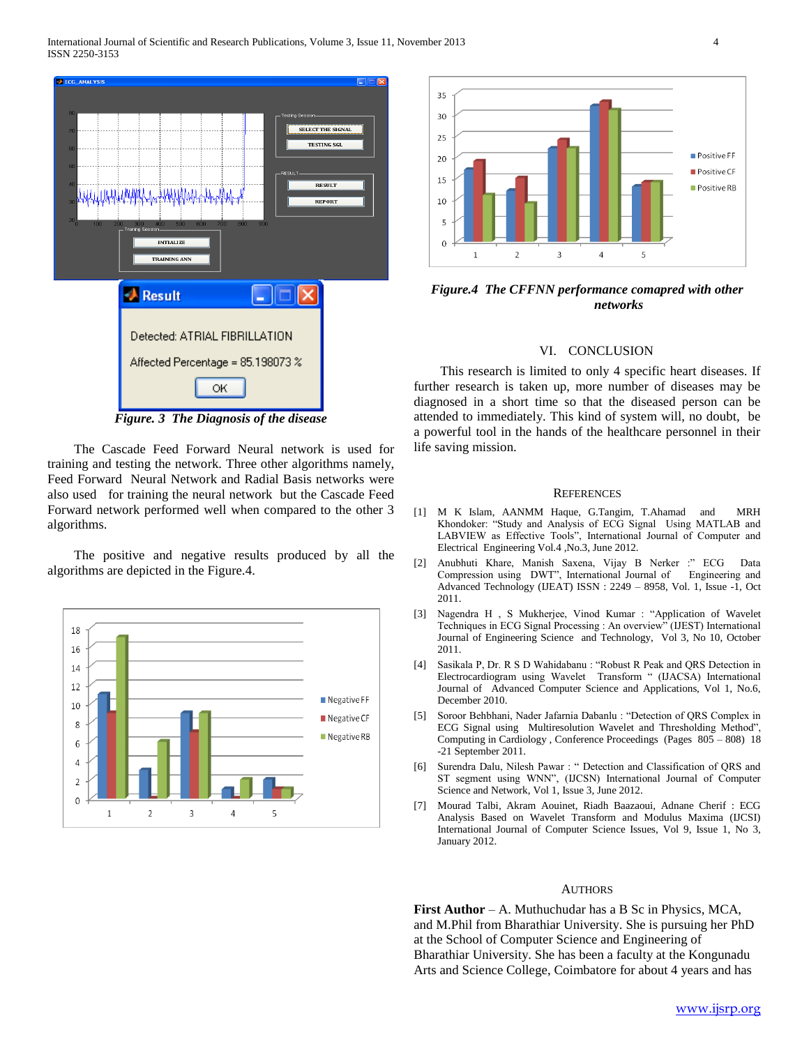

 The Cascade Feed Forward Neural network is used for training and testing the network. Three other algorithms namely, Feed Forward Neural Network and Radial Basis networks were also used for training the neural network but the Cascade Feed Forward network performed well when compared to the other 3 algorithms.

 The positive and negative results produced by all the algorithms are depicted in the Figure.4.





*Figure.4 The CFFNN performance comapred with other networks*

#### VI. CONCLUSION

 This research is limited to only 4 specific heart diseases. If further research is taken up, more number of diseases may be diagnosed in a short time so that the diseased person can be attended to immediately. This kind of system will, no doubt, be a powerful tool in the hands of the healthcare personnel in their life saving mission.

#### **REFERENCES**

- [1] M K Islam, AANMM Haque, G.Tangim, T.Ahamad and MRH Khondoker: "Study and Analysis of ECG Signal Using MATLAB and LABVIEW as Effective Tools", International Journal of Computer and Electrical Engineering Vol.4 ,No.3, June 2012.
- [2] Anubhuti Khare, Manish Saxena, Vijay B Nerker :" ECG Data Compression using DWT", International Journal of Advanced Technology (IJEAT) ISSN : 2249 – 8958, Vol. 1, Issue -1, Oct 2011.
- [3] Nagendra H , S Mukherjee, Vinod Kumar : "Application of Wavelet Techniques in ECG Signal Processing : An overview" (IJEST) International Journal of Engineering Science and Technology, Vol 3, No 10, October 2011.
- Sasikala P, Dr. R S D Wahidabanu : "Robust R Peak and QRS Detection in Electrocardiogram using Wavelet Transform " (IJACSA) International Journal of Advanced Computer Science and Applications, Vol 1, No.6, December 2010.
- [5] Soroor Behbhani, Nader Jafarnia Dabanlu : "Detection of QRS Complex in ECG Signal using Multiresolution Wavelet and Thresholding Method", Computing in Cardiology , Conference Proceedings (Pages 805 – 808) 18 -21 September 2011.
- [6] Surendra Dalu, Nilesh Pawar : " Detection and Classification of QRS and ST segment using WNN", (IJCSN) International Journal of Computer Science and Network, Vol 1, Issue 3, June 2012.
- [7] Mourad Talbi, Akram Aouinet, Riadh Baazaoui, Adnane Cherif : ECG Analysis Based on Wavelet Transform and Modulus Maxima (IJCSI) International Journal of Computer Science Issues, Vol 9, Issue 1, No 3, January 2012.

#### **AUTHORS**

**First Author** – A. Muthuchudar has a B Sc in Physics, MCA, and M.Phil from Bharathiar University. She is pursuing her PhD at the School of Computer Science and Engineering of Bharathiar University. She has been a faculty at the Kongunadu Arts and Science College, Coimbatore for about 4 years and has